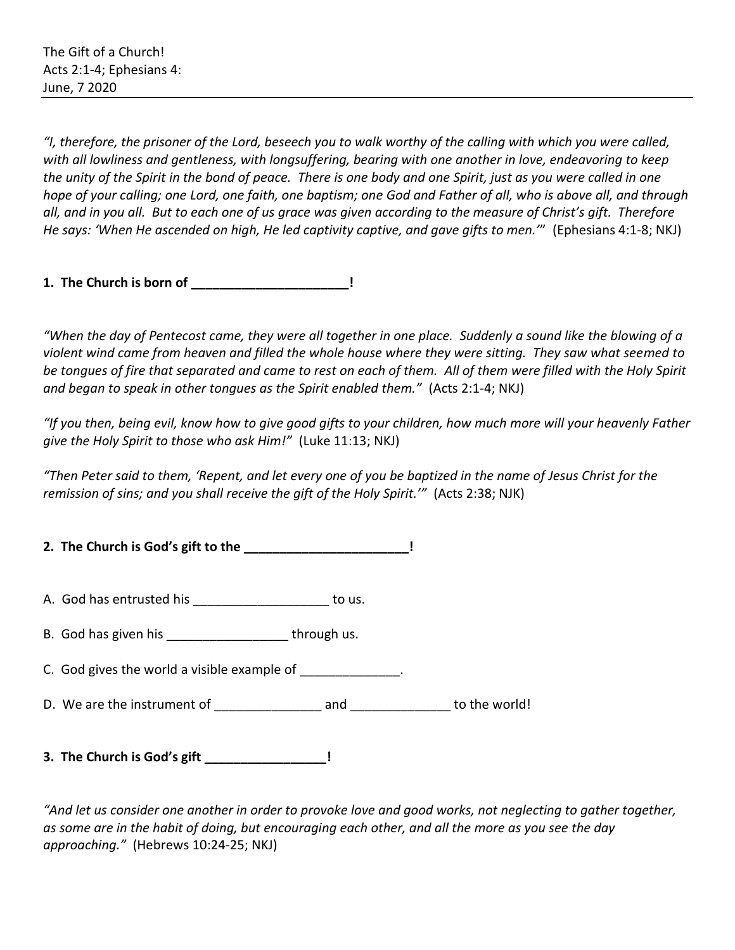*"I, therefore, the prisoner of the Lord, beseech you to walk worthy of the calling with which you were called, with all lowliness and gentleness, with longsuffering, bearing with one another in love, endeavoring to keep the unity of the Spirit in the bond of peace. There is one body and one Spirit, just as you were called in one hope of your calling; one Lord, one faith, one baptism; one God and Father of all, who is above all, and through all, and in you all. But to each one of us grace was given according to the measure of Christ's gift. Therefore He says: 'When He ascended on high, He led captivity captive, and gave gifts to men.'*" (Ephesians 4:1-8; NKJ)

**1. The Church is born of \_\_\_\_\_\_\_\_\_\_\_\_\_\_\_\_\_\_\_\_\_\_!**

*"When the day of Pentecost came, they were all together in one place. Suddenly a sound like the blowing of a violent wind came from heaven and filled the whole house where they were sitting. They saw what seemed to be tongues of fire that separated and came to rest on each of them. All of them were filled with the Holy Spirit and began to speak in other tongues as the Spirit enabled them."* (Acts 2:1-4; NKJ)

*"If you then, being evil, know how to give good gifts to your children, how much more will your heavenly Father give the Holy Spirit to those who ask Him!"* (Luke 11:13; NKJ)

*"Then Peter said to them, 'Repent, and let every one of you be baptized in the name of Jesus Christ for the remission of sins; and you shall receive the gift of the Holy Spirit.'"* (Acts 2:38; NJK)

**2. The Church is God's gift to the \_\_\_\_\_\_\_\_\_\_\_\_\_\_\_\_\_\_\_\_\_\_\_!** 

A. God has entrusted his \_\_\_\_\_\_\_\_\_\_\_\_\_\_\_\_\_\_\_ to us.

- B. God has given his example through us.
- C. God gives the world a visible example of  $\Box$
- D. We are the instrument of each control and to the world!
- **3. The Church is God's gift \_\_\_\_\_\_\_\_\_\_\_\_\_\_\_\_\_!**

*"And let us consider one another in order to provoke love and good works, not neglecting to gather together, as some are in the habit of doing, but encouraging each other, and all the more as you see the day approaching."* (Hebrews 10:24-25; NKJ)